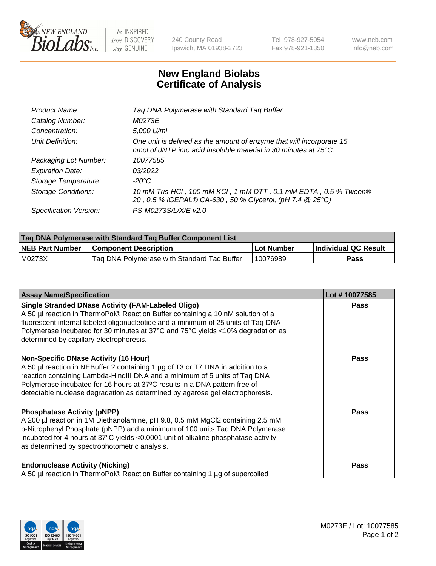

 $be$  INSPIRED drive DISCOVERY stay GENUINE

240 County Road Ipswich, MA 01938-2723 Tel 978-927-5054 Fax 978-921-1350 www.neb.com info@neb.com

## **New England Biolabs Certificate of Analysis**

| Tag DNA Polymerase with Standard Tag Buffer                                                                                                        |
|----------------------------------------------------------------------------------------------------------------------------------------------------|
| M0273E                                                                                                                                             |
| 5,000 U/ml                                                                                                                                         |
| One unit is defined as the amount of enzyme that will incorporate 15<br>nmol of dNTP into acid insoluble material in 30 minutes at $75^{\circ}$ C. |
| 10077585                                                                                                                                           |
| 03/2022                                                                                                                                            |
| $-20^{\circ}$ C                                                                                                                                    |
| 10 mM Tris-HCl, 100 mM KCl, 1 mM DTT, 0.1 mM EDTA, 0.5 % Tween®<br>20, 0.5 % IGEPAL® CA-630, 50 % Glycerol, (pH 7.4 @ 25°C)                        |
| PS-M0273S/L/X/E v2.0                                                                                                                               |
|                                                                                                                                                    |

| Tag DNA Polymerase with Standard Tag Buffer Component List |                                             |              |                      |  |  |
|------------------------------------------------------------|---------------------------------------------|--------------|----------------------|--|--|
| <b>NEB Part Number</b>                                     | <b>Component Description</b>                | l Lot Number | Individual QC Result |  |  |
| M0273X                                                     | Tag DNA Polymerase with Standard Tag Buffer | 10076989     | Pass                 |  |  |

| <b>Assay Name/Specification</b>                                                                                                                                                                                                                                                                                                                                              | Lot #10077585 |
|------------------------------------------------------------------------------------------------------------------------------------------------------------------------------------------------------------------------------------------------------------------------------------------------------------------------------------------------------------------------------|---------------|
| <b>Single Stranded DNase Activity (FAM-Labeled Oligo)</b><br>A 50 µl reaction in ThermoPol® Reaction Buffer containing a 10 nM solution of a<br>fluorescent internal labeled oligonucleotide and a minimum of 25 units of Taq DNA<br>Polymerase incubated for 30 minutes at 37°C and 75°C yields <10% degradation as<br>determined by capillary electrophoresis.             | <b>Pass</b>   |
| <b>Non-Specific DNase Activity (16 Hour)</b><br>A 50 µl reaction in NEBuffer 2 containing 1 µg of T3 or T7 DNA in addition to a<br>reaction containing Lambda-HindIII DNA and a minimum of 5 units of Taq DNA<br>Polymerase incubated for 16 hours at 37°C results in a DNA pattern free of<br>detectable nuclease degradation as determined by agarose gel electrophoresis. | <b>Pass</b>   |
| <b>Phosphatase Activity (pNPP)</b><br>A 200 µl reaction in 1M Diethanolamine, pH 9.8, 0.5 mM MgCl2 containing 2.5 mM<br>p-Nitrophenyl Phosphate (pNPP) and a minimum of 100 units Taq DNA Polymerase<br>incubated for 4 hours at 37°C yields <0.0001 unit of alkaline phosphatase activity<br>as determined by spectrophotometric analysis.                                  | Pass          |
| <b>Endonuclease Activity (Nicking)</b><br>A 50 µl reaction in ThermoPol® Reaction Buffer containing 1 µg of supercoiled                                                                                                                                                                                                                                                      | Pass          |